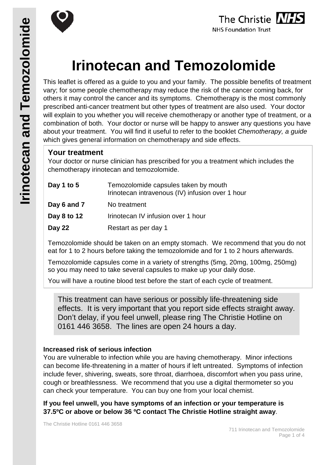





# **Irinotecan and Temozolomide**

This leaflet is offered as a guide to you and your family. The possible benefits of treatment vary; for some people chemotherapy may reduce the risk of the cancer coming back, for others it may control the cancer and its symptoms. Chemotherapy is the most commonly prescribed anti-cancer treatment but other types of treatment are also used. Your doctor will explain to you whether you will receive chemotherapy or another type of treatment, or a combination of both. Your doctor or nurse will be happy to answer any questions you have about your treatment. You will find it useful to refer to the booklet *Chemotherapy, a guide* which gives general information on chemotherapy and side effects.

## **Your treatment**

Your doctor or nurse clinician has prescribed for you a treatment which includes the chemotherapy irinotecan and temozolomide.

| Day 1 to 5  | Temozolomide capsules taken by mouth<br>Irinotecan intravenous (IV) infusion over 1 hour |
|-------------|------------------------------------------------------------------------------------------|
| Day 6 and 7 | No treatment                                                                             |
| Day 8 to 12 | Irinotecan IV infusion over 1 hour                                                       |
| Day 22      | Restart as per day 1                                                                     |

Temozolomide should be taken on an empty stomach. We recommend that you do not eat for 1 to 2 hours before taking the temozolomide and for 1 to 2 hours afterwards.

Temozolomide capsules come in a variety of strengths (5mg, 20mg, 100mg, 250mg) so you may need to take several capsules to make up your daily dose.

You will have a routine blood test before the start of each cycle of treatment.

This treatment can have serious or possibly life-threatening side effects. It is very important that you report side effects straight away. Don't delay, if you feel unwell, please ring The Christie Hotline on 0161 446 3658. The lines are open 24 hours a day.

#### **Increased risk of serious infection**

You are vulnerable to infection while you are having chemotherapy. Minor infections can become life-threatening in a matter of hours if left untreated. Symptoms of infection include fever, shivering, sweats, sore throat, diarrhoea, discomfort when you pass urine, cough or breathlessness. We recommend that you use a digital thermometer so you can check your temperature. You can buy one from your local chemist.

**If you feel unwell, you have symptoms of an infection or your temperature is 37.5ºC or above or below 36 ºC contact The Christie Hotline straight away**.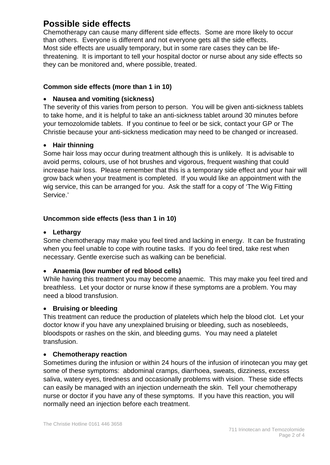# **Possible side effects**

Chemotherapy can cause many different side effects. Some are more likely to occur than others. Everyone is different and not everyone gets all the side effects. Most side effects are usually temporary, but in some rare cases they can be lifethreatening. It is important to tell your hospital doctor or nurse about any side effects so they can be monitored and, where possible, treated.

## **Common side effects (more than 1 in 10)**

## • **Nausea and vomiting (sickness)**

The severity of this varies from person to person. You will be given anti-sickness tablets to take home, and it is helpful to take an anti-sickness tablet around 30 minutes before your temozolomide tablets. If you continue to feel or be sick, contact your GP or The Christie because your anti-sickness medication may need to be changed or increased.

#### • **Hair thinning**

Some hair loss may occur during treatment although this is unlikely. It is advisable to avoid perms, colours, use of hot brushes and vigorous, frequent washing that could increase hair loss. Please remember that this is a temporary side effect and your hair will grow back when your treatment is completed. If you would like an appointment with the wig service, this can be arranged for you. Ask the staff for a copy of 'The Wig Fitting Service.'

#### **Uncommon side effects (less than 1 in 10)**

#### • **Lethargy**

Some chemotherapy may make you feel tired and lacking in energy. It can be frustrating when you feel unable to cope with routine tasks. If you do feel tired, take rest when necessary. Gentle exercise such as walking can be beneficial.

#### • **Anaemia (low number of red blood cells)**

While having this treatment you may become anaemic. This may make you feel tired and breathless. Let your doctor or nurse know if these symptoms are a problem. You may need a blood transfusion.

#### • **Bruising or bleeding**

This treatment can reduce the production of platelets which help the blood clot. Let your doctor know if you have any unexplained bruising or bleeding, such as nosebleeds, bloodspots or rashes on the skin, and bleeding gums. You may need a platelet transfusion.

#### • **Chemotherapy reaction**

Sometimes during the infusion or within 24 hours of the infusion of irinotecan you may get some of these symptoms: abdominal cramps, diarrhoea, sweats, dizziness, excess saliva, watery eyes, tiredness and occasionally problems with vision. These side effects can easily be managed with an injection underneath the skin. Tell your chemotherapy nurse or doctor if you have any of these symptoms. If you have this reaction, you will normally need an injection before each treatment.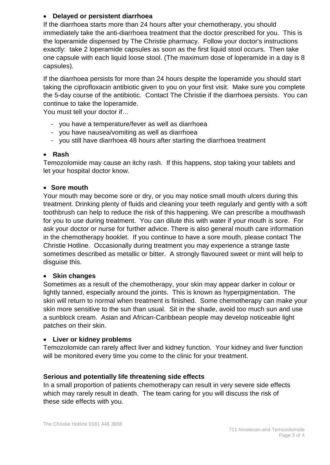## • **Delayed or persistent diarrhoea**

If the diarrhoea starts more than 24 hours after your chemotherapy, you should immediately take the anti-diarrhoea treatment that the doctor prescribed for you. This is the loperamide dispensed by The Christie pharmacy. Follow your doctor's instructions exactly: take 2 loperamide capsules as soon as the first liquid stool occurs. Then take one capsule with each liquid loose stool. (The maximum dose of loperamide in a day is 8 capsules).

If the diarrhoea persists for more than 24 hours despite the loperamide you should start taking the ciprofloxacin antibiotic given to you on your first visit. Make sure you complete the 5-day course of the antibiotic. Contact The Christie if the diarrhoea persists. You can continue to take the loperamide.

You must tell your doctor if…

- you have a temperature/fever as well as diarrhoea
- you have nausea/vomiting as well as diarrhoea
- you still have diarrhoea 48 hours after starting the diarrhoea treatment

#### • **Rash**

Temozolomide may cause an itchy rash. If this happens, stop taking your tablets and let your hospital doctor know.

#### • **Sore mouth**

Your mouth may become sore or dry, or you may notice small mouth ulcers during this treatment. Drinking plenty of fluids and cleaning your teeth regularly and gently with a soft toothbrush can help to reduce the risk of this happening. We can prescribe a mouthwash for you to use during treatment. You can dilute this with water if your mouth is sore. For ask your doctor or nurse for further advice. There is also general mouth care information in the chemotherapy booklet. If you continue to have a sore mouth, please contact The Christie Hotline. Occasionally during treatment you may experience a strange taste sometimes described as metallic or bitter. A strongly flavoured sweet or mint will help to disguise this.

#### • **Skin changes**

Sometimes as a result of the chemotherapy, your skin may appear darker in colour or lightly tanned, especially around the joints. This is known as hyperpigmentation. The skin will return to normal when treatment is finished. Some chemotherapy can make your skin more sensitive to the sun than usual. Sit in the shade, avoid too much sun and use a sunblock cream. Asian and African-Caribbean people may develop noticeable light patches on their skin.

#### • **Liver or kidney problems**

Temozolomide can rarely affect liver and kidney function. Your kidney and liver function will be monitored every time you come to the clinic for your treatment.

#### **Serious and potentially life threatening side effects**

In a small proportion of patients chemotherapy can result in very severe side effects which may rarely result in death. The team caring for you will discuss the risk of these side effects with you.